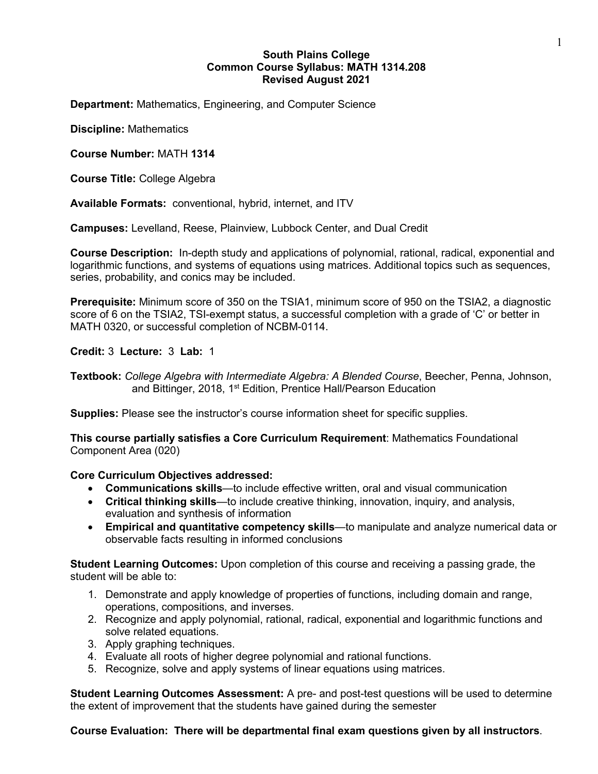# **South Plains College Common Course Syllabus: MATH 1314.208 Revised August 2021**

**Department:** Mathematics, Engineering, and Computer Science

**Discipline:** Mathematics

**Course Number:** MATH **1314**

**Course Title:** College Algebra

**Available Formats:** conventional, hybrid, internet, and ITV

**Campuses:** Levelland, Reese, Plainview, Lubbock Center, and Dual Credit

**Course Description:** In-depth study and applications of polynomial, rational, radical, exponential and logarithmic functions, and systems of equations using matrices. Additional topics such as sequences, series, probability, and conics may be included.

**Prerequisite:** Minimum score of 350 on the TSIA1, minimum score of 950 on the TSIA2, a diagnostic score of 6 on the TSIA2, TSI-exempt status, a successful completion with a grade of 'C' or better in MATH 0320, or successful completion of NCBM-0114.

**Credit:** 3 **Lecture:** 3 **Lab:** 1

**Textbook:** *College Algebra with Intermediate Algebra: A Blended Course*, Beecher, Penna, Johnson, and Bittinger, 2018, 1<sup>st</sup> Edition, Prentice Hall/Pearson Education

**Supplies:** Please see the instructor's course information sheet for specific supplies.

**This course partially satisfies a Core Curriculum Requirement**: Mathematics Foundational Component Area (020)

### **Core Curriculum Objectives addressed:**

- **Communications skills**—to include effective written, oral and visual communication
- **Critical thinking skills**—to include creative thinking, innovation, inquiry, and analysis, evaluation and synthesis of information
- **Empirical and quantitative competency skills**—to manipulate and analyze numerical data or observable facts resulting in informed conclusions

**Student Learning Outcomes:** Upon completion of this course and receiving a passing grade, the student will be able to:

- 1. Demonstrate and apply knowledge of properties of functions, including domain and range, operations, compositions, and inverses.
- 2. Recognize and apply polynomial, rational, radical, exponential and logarithmic functions and solve related equations.
- 3. Apply graphing techniques.
- 4. Evaluate all roots of higher degree polynomial and rational functions.
- 5. Recognize, solve and apply systems of linear equations using matrices.

**Student Learning Outcomes Assessment:** A pre- and post-test questions will be used to determine the extent of improvement that the students have gained during the semester

**Course Evaluation: There will be departmental final exam questions given by all instructors**.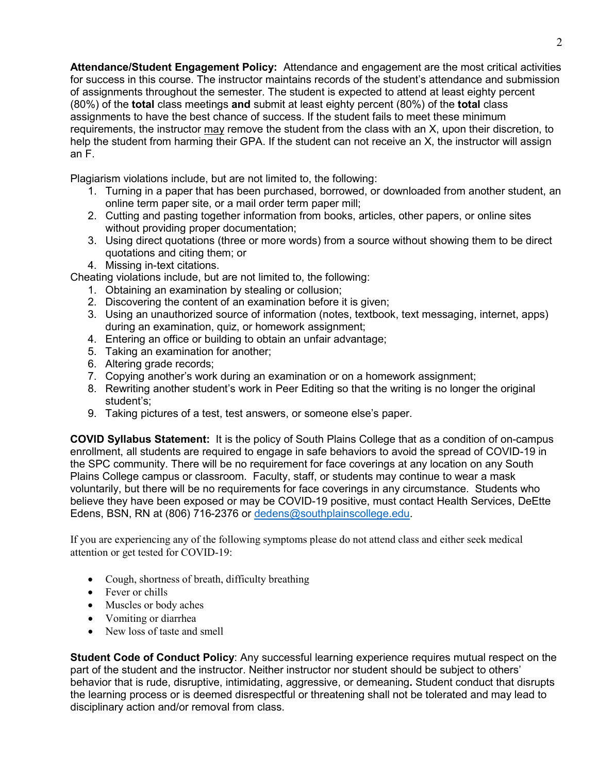**Attendance/Student Engagement Policy:** Attendance and engagement are the most critical activities for success in this course. The instructor maintains records of the student's attendance and submission of assignments throughout the semester. The student is expected to attend at least eighty percent (80%) of the **total** class meetings **and** submit at least eighty percent (80%) of the **total** class assignments to have the best chance of success. If the student fails to meet these minimum requirements, the instructor may remove the student from the class with an X, upon their discretion, to help the student from harming their GPA. If the student can not receive an X, the instructor will assign an F.

Plagiarism violations include, but are not limited to, the following:

- 1. Turning in a paper that has been purchased, borrowed, or downloaded from another student, an online term paper site, or a mail order term paper mill;
- 2. Cutting and pasting together information from books, articles, other papers, or online sites without providing proper documentation;
- 3. Using direct quotations (three or more words) from a source without showing them to be direct quotations and citing them; or
- 4. Missing in-text citations.

Cheating violations include, but are not limited to, the following:

- 1. Obtaining an examination by stealing or collusion;
- 2. Discovering the content of an examination before it is given;
- 3. Using an unauthorized source of information (notes, textbook, text messaging, internet, apps) during an examination, quiz, or homework assignment;
- 4. Entering an office or building to obtain an unfair advantage;
- 5. Taking an examination for another;
- 6. Altering grade records;
- 7. Copying another's work during an examination or on a homework assignment;
- 8. Rewriting another student's work in Peer Editing so that the writing is no longer the original student's;
- 9. Taking pictures of a test, test answers, or someone else's paper.

**COVID Syllabus Statement:** It is the policy of South Plains College that as a condition of on-campus enrollment, all students are required to engage in safe behaviors to avoid the spread of COVID-19 in the SPC community. There will be no requirement for face coverings at any location on any South Plains College campus or classroom. Faculty, staff, or students may continue to wear a mask voluntarily, but there will be no requirements for face coverings in any circumstance. Students who believe they have been exposed or may be COVID-19 positive, must contact Health Services, DeEtte Edens, BSN, RN at (806) 716-2376 or [dedens@southplainscollege.edu.](mailto:dedens@southplainscollege.edu)

If you are experiencing any of the following symptoms please do not attend class and either seek medical attention or get tested for COVID-19:

- Cough, shortness of breath, difficulty breathing
- Fever or chills
- Muscles or body aches
- Vomiting or diarrhea
- New loss of taste and smell

**Student Code of Conduct Policy**: Any successful learning experience requires mutual respect on the part of the student and the instructor. Neither instructor nor student should be subject to others' behavior that is rude, disruptive, intimidating, aggressive, or demeaning**.** Student conduct that disrupts the learning process or is deemed disrespectful or threatening shall not be tolerated and may lead to disciplinary action and/or removal from class.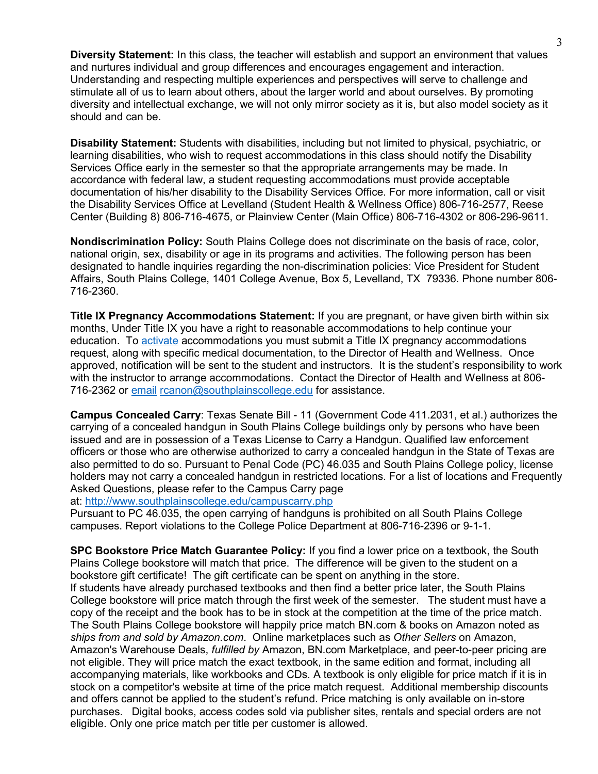**Diversity Statement:** In this class, the teacher will establish and support an environment that values and nurtures individual and group differences and encourages engagement and interaction. Understanding and respecting multiple experiences and perspectives will serve to challenge and stimulate all of us to learn about others, about the larger world and about ourselves. By promoting diversity and intellectual exchange, we will not only mirror society as it is, but also model society as it should and can be.

**Disability Statement:** Students with disabilities, including but not limited to physical, psychiatric, or learning disabilities, who wish to request accommodations in this class should notify the Disability Services Office early in the semester so that the appropriate arrangements may be made. In accordance with federal law, a student requesting accommodations must provide acceptable documentation of his/her disability to the Disability Services Office. For more information, call or visit the Disability Services Office at Levelland (Student Health & Wellness Office) 806-716-2577, Reese Center (Building 8) 806-716-4675, or Plainview Center (Main Office) 806-716-4302 or 806-296-9611.

**Nondiscrimination Policy:** South Plains College does not discriminate on the basis of race, color, national origin, sex, disability or age in its programs and activities. The following person has been designated to handle inquiries regarding the non-discrimination policies: Vice President for Student Affairs, South Plains College, 1401 College Avenue, Box 5, Levelland, TX 79336. Phone number 806- 716-2360.

**Title IX Pregnancy Accommodations Statement:** If you are pregnant, or have given birth within six months, Under Title IX you have a right to reasonable accommodations to help continue your education. To [activate](http://www.southplainscollege.edu/employees/manualshandbooks/facultyhandbook/sec4.php) accommodations you must submit a Title IX pregnancy accommodations request, along with specific medical documentation, to the Director of Health and Wellness. Once approved, notification will be sent to the student and instructors. It is the student's responsibility to work with the instructor to arrange accommodations. Contact the Director of Health and Wellness at 806- 716-2362 or [email](http://www.southplainscollege.edu/employees/manualshandbooks/facultyhandbook/sec4.php) [rcanon@southplainscollege.edu](mailto:rcanon@southplainscollege.edu) for assistance.

**Campus Concealed Carry**: Texas Senate Bill - 11 (Government Code 411.2031, et al.) authorizes the carrying of a concealed handgun in South Plains College buildings only by persons who have been issued and are in possession of a Texas License to Carry a Handgun. Qualified law enforcement officers or those who are otherwise authorized to carry a concealed handgun in the State of Texas are also permitted to do so. Pursuant to Penal Code (PC) 46.035 and South Plains College policy, license holders may not carry a concealed handgun in restricted locations. For a list of locations and Frequently Asked Questions, please refer to the Campus Carry page

at: <http://www.southplainscollege.edu/campuscarry.php>

Pursuant to PC 46.035, the open carrying of handguns is prohibited on all South Plains College campuses. Report violations to the College Police Department at 806-716-2396 or 9-1-1.

**SPC Bookstore Price Match Guarantee Policy:** If you find a lower price on a textbook, the South Plains College bookstore will match that price. The difference will be given to the student on a bookstore gift certificate! The gift certificate can be spent on anything in the store. If students have already purchased textbooks and then find a better price later, the South Plains College bookstore will price match through the first week of the semester. The student must have a copy of the receipt and the book has to be in stock at the competition at the time of the price match. The South Plains College bookstore will happily price match BN.com & books on Amazon noted as *ships from and sold by Amazon.com*. Online marketplaces such as *Other Sellers* on Amazon, Amazon's Warehouse Deals, *fulfilled by* Amazon, BN.com Marketplace, and peer-to-peer pricing are not eligible. They will price match the exact textbook, in the same edition and format, including all accompanying materials, like workbooks and CDs. A textbook is only eligible for price match if it is in stock on a competitor's website at time of the price match request. Additional membership discounts and offers cannot be applied to the student's refund. Price matching is only available on in-store purchases. Digital books, access codes sold via publisher sites, rentals and special orders are not eligible. Only one price match per title per customer is allowed.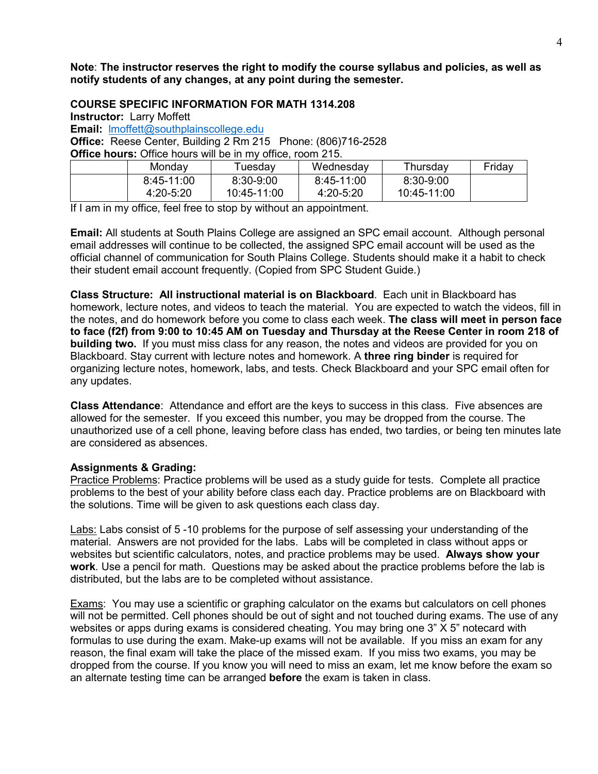**Note**: **The instructor reserves the right to modify the course syllabus and policies, as well as notify students of any changes, at any point during the semester.**

**COURSE SPECIFIC INFORMATION FOR MATH 1314.208**

**Instructor:** Larry Moffett

**Email:** [lmoffett@southplainscollege.edu](mailto:lmoffett@southplainscollege.edu)

**Office:** Reese Center, Building 2 Rm 215 Phone: (806)716-2528

**Office hours:** Office hours will be in my office, room 215.

| Mondav        | uesdav      | Wednesdav  | Thursdav      | Fridav |
|---------------|-------------|------------|---------------|--------|
| $8:45-11:00$  | 8:30-9:00   | 8:45-11:00 | $8:30 - 9:00$ |        |
| $4:20 - 5:20$ | 10:45-11:00 | 4:20-5:20  | 10:45-11:00   |        |

If I am in my office, feel free to stop by without an appointment.

**Email:** All students at South Plains College are assigned an SPC email account. Although personal email addresses will continue to be collected, the assigned SPC email account will be used as the official channel of communication for South Plains College. Students should make it a habit to check their student email account frequently. (Copied from SPC Student Guide.)

**Class Structure: All instructional material is on Blackboard**. Each unit in Blackboard has homework, lecture notes, and videos to teach the material. You are expected to watch the videos, fill in the notes, and do homework before you come to class each week. **The class will meet in person face to face (f2f) from 9:00 to 10:45 AM on Tuesday and Thursday at the Reese Center in room 218 of building two.** If you must miss class for any reason, the notes and videos are provided for you on Blackboard. Stay current with lecture notes and homework. A **three ring binder** is required for organizing lecture notes, homework, labs, and tests. Check Blackboard and your SPC email often for any updates.

**Class Attendance**: Attendance and effort are the keys to success in this class. Five absences are allowed for the semester. If you exceed this number, you may be dropped from the course. The unauthorized use of a cell phone, leaving before class has ended, two tardies, or being ten minutes late are considered as absences.

# **Assignments & Grading:**

Practice Problems: Practice problems will be used as a study guide for tests. Complete all practice problems to the best of your ability before class each day. Practice problems are on Blackboard with the solutions. Time will be given to ask questions each class day.

Labs: Labs consist of 5 -10 problems for the purpose of self assessing your understanding of the material. Answers are not provided for the labs. Labs will be completed in class without apps or websites but scientific calculators, notes, and practice problems may be used. **Always show your work**. Use a pencil for math. Questions may be asked about the practice problems before the lab is distributed, but the labs are to be completed without assistance.

Exams: You may use a scientific or graphing calculator on the exams but calculators on cell phones will not be permitted. Cell phones should be out of sight and not touched during exams. The use of any websites or apps during exams is considered cheating. You may bring one 3" X 5" notecard with formulas to use during the exam. Make-up exams will not be available. If you miss an exam for any reason, the final exam will take the place of the missed exam. If you miss two exams, you may be dropped from the course. If you know you will need to miss an exam, let me know before the exam so an alternate testing time can be arranged **before** the exam is taken in class.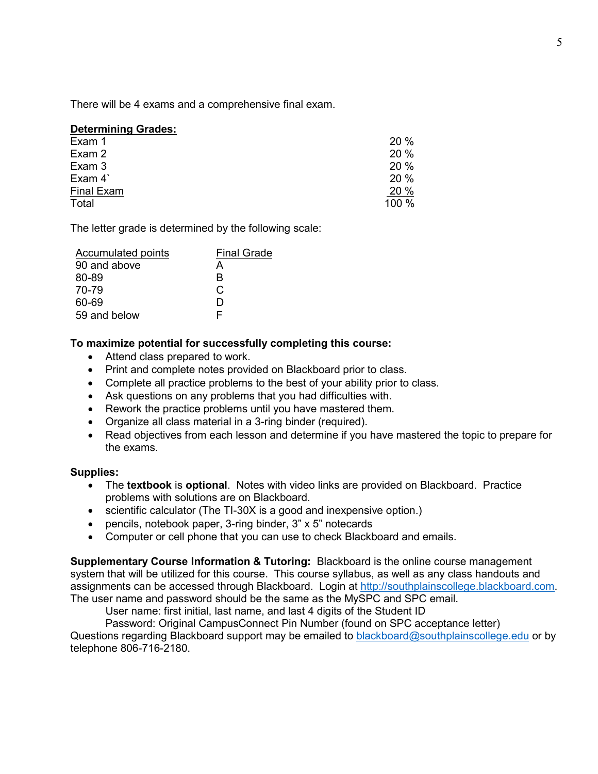There will be 4 exams and a comprehensive final exam.

## **Determining Grades:**

| Exam 1     | 20%   |
|------------|-------|
| Exam 2     | 20 %  |
| Exam 3     | 20 %  |
| Exam 4     | 20 %  |
| Final Exam | 20 %  |
| Total      | 100 % |

The letter grade is determined by the following scale:

| <b>Accumulated points</b> | <b>Final Grade</b> |
|---------------------------|--------------------|
| 90 and above              | А                  |
| 80-89                     | R                  |
| 70-79                     | C.                 |
| 60-69                     | ו ו                |
| 59 and below              |                    |
|                           |                    |

### **To maximize potential for successfully completing this course:**

- Attend class prepared to work.
- Print and complete notes provided on Blackboard prior to class.
- Complete all practice problems to the best of your ability prior to class.
- Ask questions on any problems that you had difficulties with.
- Rework the practice problems until you have mastered them.
- Organize all class material in a 3-ring binder (required).
- Read objectives from each lesson and determine if you have mastered the topic to prepare for the exams.

### **Supplies:**

- The **textbook** is **optional**. Notes with video links are provided on Blackboard. Practice problems with solutions are on Blackboard.
- scientific calculator (The TI-30X is a good and inexpensive option.)
- pencils, notebook paper, 3-ring binder, 3" x 5" notecards
- Computer or cell phone that you can use to check Blackboard and emails.

**Supplementary Course Information & Tutoring:** Blackboard is the online course management system that will be utilized for this course. This course syllabus, as well as any class handouts and assignments can be accessed through Blackboard. Login at [http://southplainscollege.blackboard.com.](http://southplainscollege.blackboard.com/) The user name and password should be the same as the MySPC and SPC email.

User name: first initial, last name, and last 4 digits of the Student ID

Password: Original CampusConnect Pin Number (found on SPC acceptance letter) Questions regarding Blackboard support may be emailed to [blackboard@southplainscollege.edu](mailto:blackboard@southplainscollege.edu) or by telephone 806-716-2180.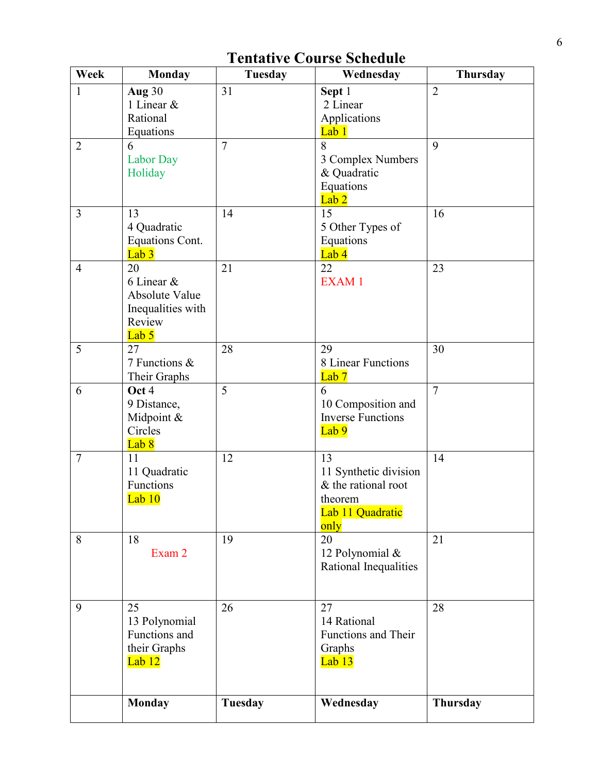| Week           | <b>Monday</b>                       | Tuesday        | Wednesday                | <b>Thursday</b> |
|----------------|-------------------------------------|----------------|--------------------------|-----------------|
| $\mathbf{1}$   | Aug 30                              | 31             | Sept 1                   | $\overline{2}$  |
|                | 1 Linear &                          |                | 2 Linear                 |                 |
|                | Rational                            |                | Applications             |                 |
|                | Equations                           |                | Lab 1                    |                 |
| $\overline{2}$ | 6                                   | $\tau$         | 8                        | 9               |
|                | <b>Labor Day</b>                    |                | 3 Complex Numbers        |                 |
|                | Holiday                             |                | & Quadratic              |                 |
|                |                                     |                | Equations                |                 |
|                |                                     |                | Lab <sub>2</sub>         |                 |
| $\overline{3}$ | 13                                  | 14             | 15                       | 16              |
|                | 4 Quadratic                         |                | 5 Other Types of         |                 |
|                | Equations Cont.<br>Lab <sub>3</sub> |                | Equations<br>Lab 4       |                 |
| $\overline{4}$ | 20                                  | 21             | 22                       | 23              |
|                | 6 Linear &                          |                | <b>EXAM1</b>             |                 |
|                | <b>Absolute Value</b>               |                |                          |                 |
|                | Inequalities with                   |                |                          |                 |
|                | Review                              |                |                          |                 |
|                | Lab <sub>5</sub>                    |                |                          |                 |
| 5              | 27                                  | 28             | 29                       | 30              |
|                | 7 Functions &                       |                | 8 Linear Functions       |                 |
|                | Their Graphs                        |                | Lab <sub>7</sub>         |                 |
| 6              | Oct 4                               | 5              | 6                        | $\overline{7}$  |
|                | 9 Distance,                         |                | 10 Composition and       |                 |
|                | Midpoint &                          |                | <b>Inverse Functions</b> |                 |
|                | Circles                             |                | Lab 9                    |                 |
|                | Lab 8                               |                |                          |                 |
| $\overline{7}$ | 11                                  | 12             | 13                       | 14              |
|                | 11 Quadratic                        |                | 11 Synthetic division    |                 |
|                | Functions                           |                | & the rational root      |                 |
|                | $Lab$ $10$                          |                | theorem                  |                 |
|                |                                     |                | Lab 11 Quadratic         |                 |
|                |                                     |                | only                     |                 |
| 8              | 18                                  | 19             | 20                       | 21              |
|                | Exam 2                              |                | 12 Polynomial &          |                 |
|                |                                     |                | Rational Inequalities    |                 |
|                |                                     |                |                          |                 |
| 9              | 25                                  | 26             | 27                       | 28              |
|                | 13 Polynomial                       |                | 14 Rational              |                 |
|                | Functions and                       |                | Functions and Their      |                 |
|                | their Graphs                        |                | Graphs                   |                 |
|                | Lab 12                              |                | Lab <sub>13</sub>        |                 |
|                |                                     |                |                          |                 |
|                |                                     |                |                          |                 |
|                | <b>Monday</b>                       | <b>Tuesday</b> | Wednesday                | Thursday        |
|                |                                     |                |                          |                 |